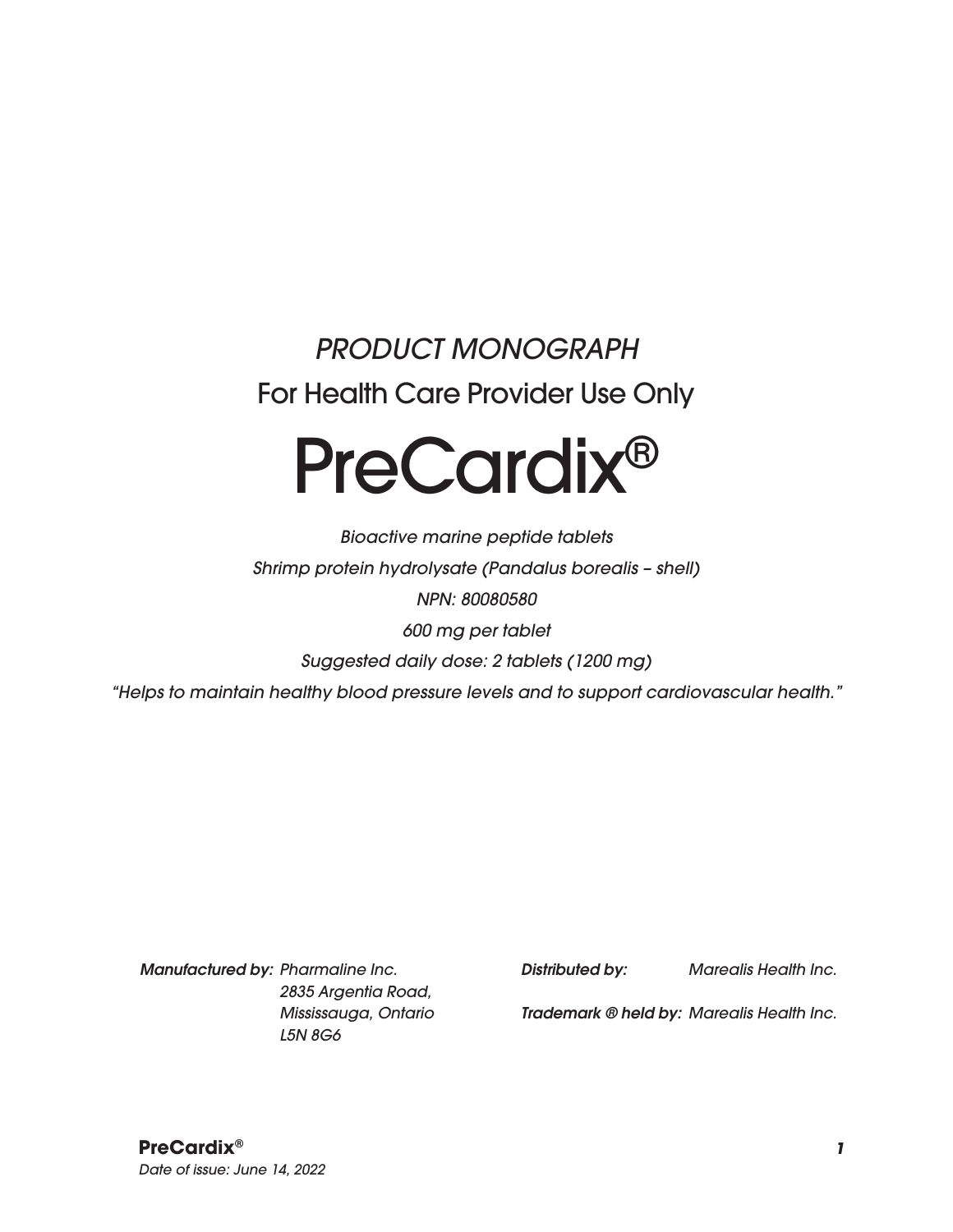## *PRODUCT MONOGRAPH* For Health Care Provider Use Only

# PreCardix®

*Bioactive marine peptide tablets Shrimp protein hydrolysate (Pandalus borealis – shell) NPN: 80080580 600 mg per tablet Suggested daily dose: 2 tablets (1200 mg) "Helps to maintain healthy blood pressure levels and to support cardiovascular health."*

*Manufactured by: Pharmaline Inc. 2835 Argentia Road, Mississauga, Ontario L5N 8G6*

*Distributed by: Marealis Health Inc.*

*Trademark ® held by: Marealis Health Inc.*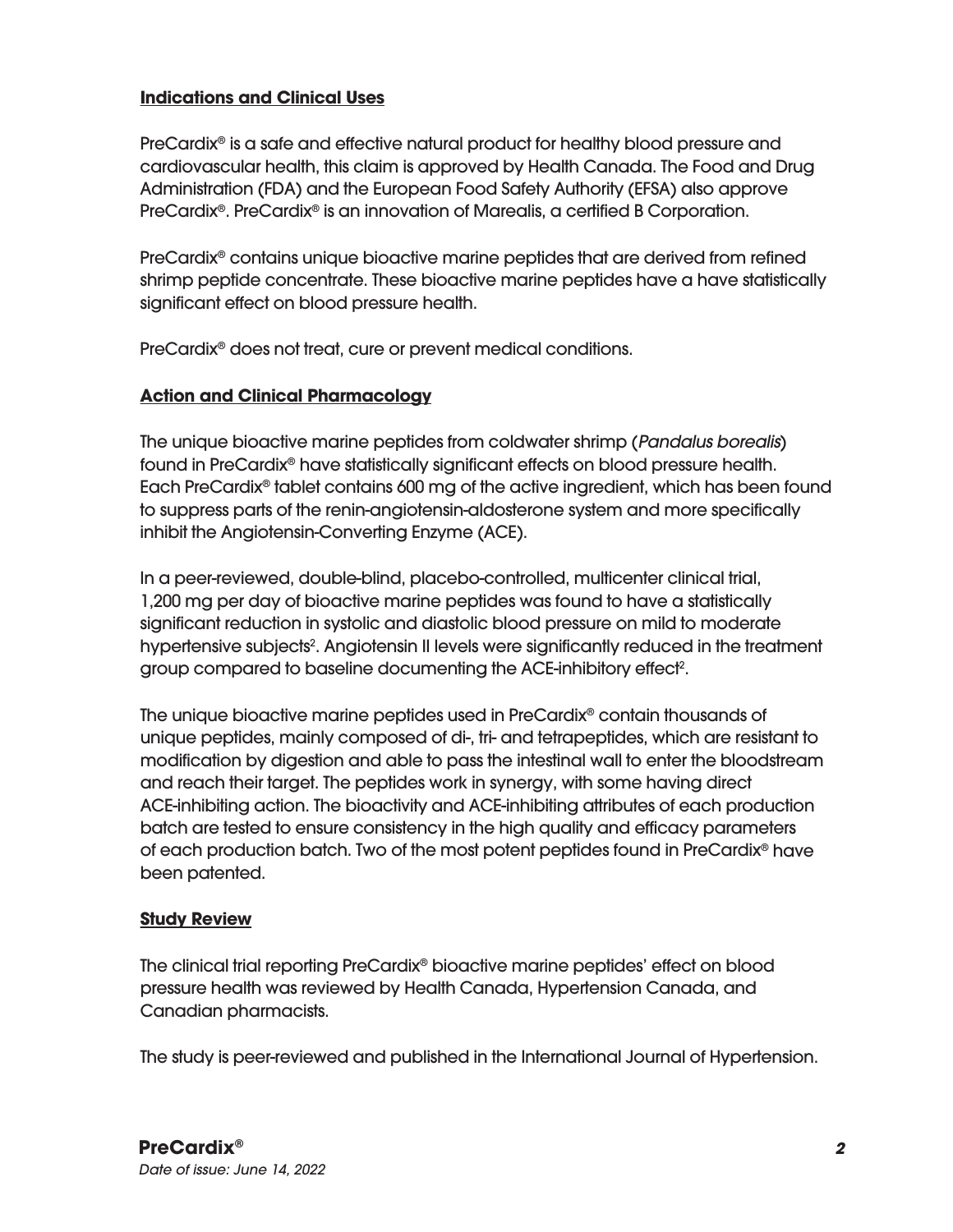#### **Indications and Clinical Uses**

PreCardix® is a safe and effective natural product for healthy blood pressure and cardiovascular health, this claim is approved by Health Canada. The Food and Drug Administration (FDA) and the European Food Safety Authority (EFSA) also approve PreCardix®. PreCardix® is an innovation of Marealis, a certified B Corporation.

PreCardix® contains unique bioactive marine peptides that are derived from refined shrimp peptide concentrate. These bioactive marine peptides have a have statistically significant effect on blood pressure health.

PreCardix® does not treat, cure or prevent medical conditions.

#### **Action and Clinical Pharmacology**

The unique bioactive marine peptides from coldwater shrimp (*Pandalus borealis*) found in PreCardix® have statistically significant effects on blood pressure health. Each PreCardix® tablet contains 600 mg of the active ingredient, which has been found to suppress parts of the renin-angiotensin-aldosterone system and more specifically inhibit the Angiotensin-Converting Enzyme (ACE).

In a peer-reviewed, double-blind, placebo-controlled, multicenter clinical trial, 1,200 mg per day of bioactive marine peptides was found to have a statistically significant reduction in systolic and diastolic blood pressure on mild to moderate hypertensive subjects<sup>2</sup>. Angiotensin II levels were significantly reduced in the treatment group compared to baseline documenting the ACE-inhibitory effect<sup>2</sup>.

The unique bioactive marine peptides used in PreCardix® contain thousands of unique peptides, mainly composed of di-, tri- and tetrapeptides, which are resistant to modification by digestion and able to pass the intestinal wall to enter the bloodstream and reach their target. The peptides work in synergy, with some having direct ACE-inhibiting action. The bioactivity and ACE-inhibiting attributes of each production batch are tested to ensure consistency in the high quality and efficacy parameters of each production batch. Two of the most potent peptides found in PreCardix® have been patented.

#### **Study Review**

The clinical trial reporting PreCardix® bioactive marine peptides' effect on blood pressure health was reviewed by Health Canada, Hypertension Canada, and Canadian pharmacists.

The study is peer-reviewed and published in the International Journal of Hypertension.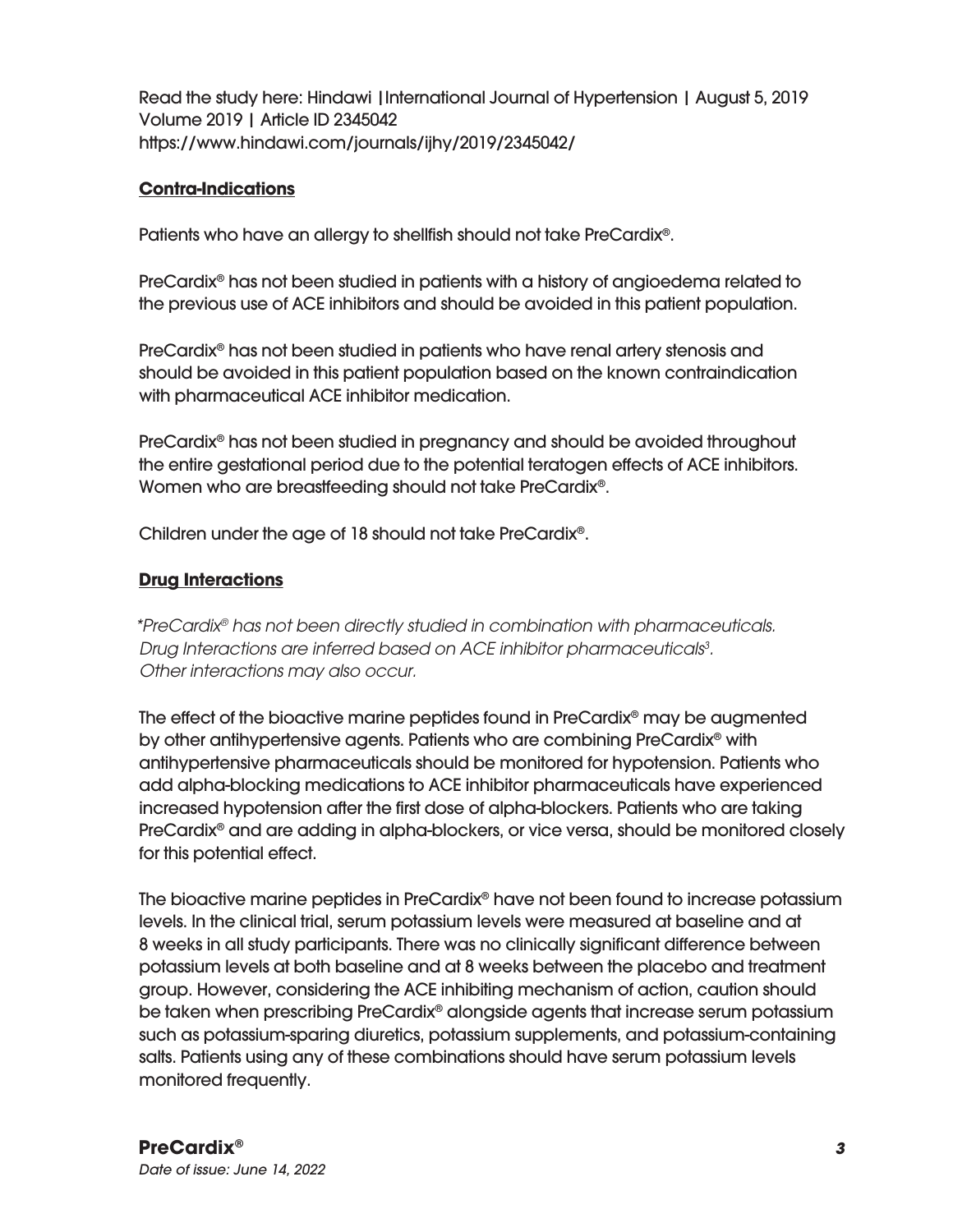Read the study here: Hindawi |International Journal of Hypertension | August 5, 2019 Volume 2019 | Article ID 2345042 https://www.hindawi.com/journals/ijhy/2019/2345042/

#### **Contra-Indications**

Patients who have an allergy to shellfish should not take PreCardix®.

PreCardix® has not been studied in patients with a history of angioedema related to the previous use of ACE inhibitors and should be avoided in this patient population.

PreCardix® has not been studied in patients who have renal artery stenosis and should be avoided in this patient population based on the known contraindication with pharmaceutical ACE inhibitor medication.

PreCardix® has not been studied in pregnancy and should be avoided throughout the entire gestational period due to the potential teratogen effects of ACE inhibitors. Women who are breastfeeding should not take PreCardix®.

Children under the age of 18 should not take PreCardix®.

#### **Drug Interactions**

*\*PreCardix® has not been directly studied in combination with pharmaceuticals. Drug Interactions are inferred based on ACE inhibitor pharmaceuticals3 . Other interactions may also occur.*

The effect of the bioactive marine peptides found in PreCardix® may be augmented by other antihypertensive agents. Patients who are combining PreCardix® with antihypertensive pharmaceuticals should be monitored for hypotension. Patients who add alpha-blocking medications to ACE inhibitor pharmaceuticals have experienced increased hypotension after the first dose of alpha-blockers. Patients who are taking PreCardix® and are adding in alpha-blockers, or vice versa, should be monitored closely for this potential effect.

The bioactive marine peptides in PreCardix® have not been found to increase potassium levels. In the clinical trial, serum potassium levels were measured at baseline and at 8 weeks in all study participants. There was no clinically significant difference between potassium levels at both baseline and at 8 weeks between the placebo and treatment group. However, considering the ACE inhibiting mechanism of action, caution should be taken when prescribing PreCardix® alongside agents that increase serum potassium such as potassium-sparing diuretics, potassium supplements, and potassium-containing salts. Patients using any of these combinations should have serum potassium levels monitored frequently.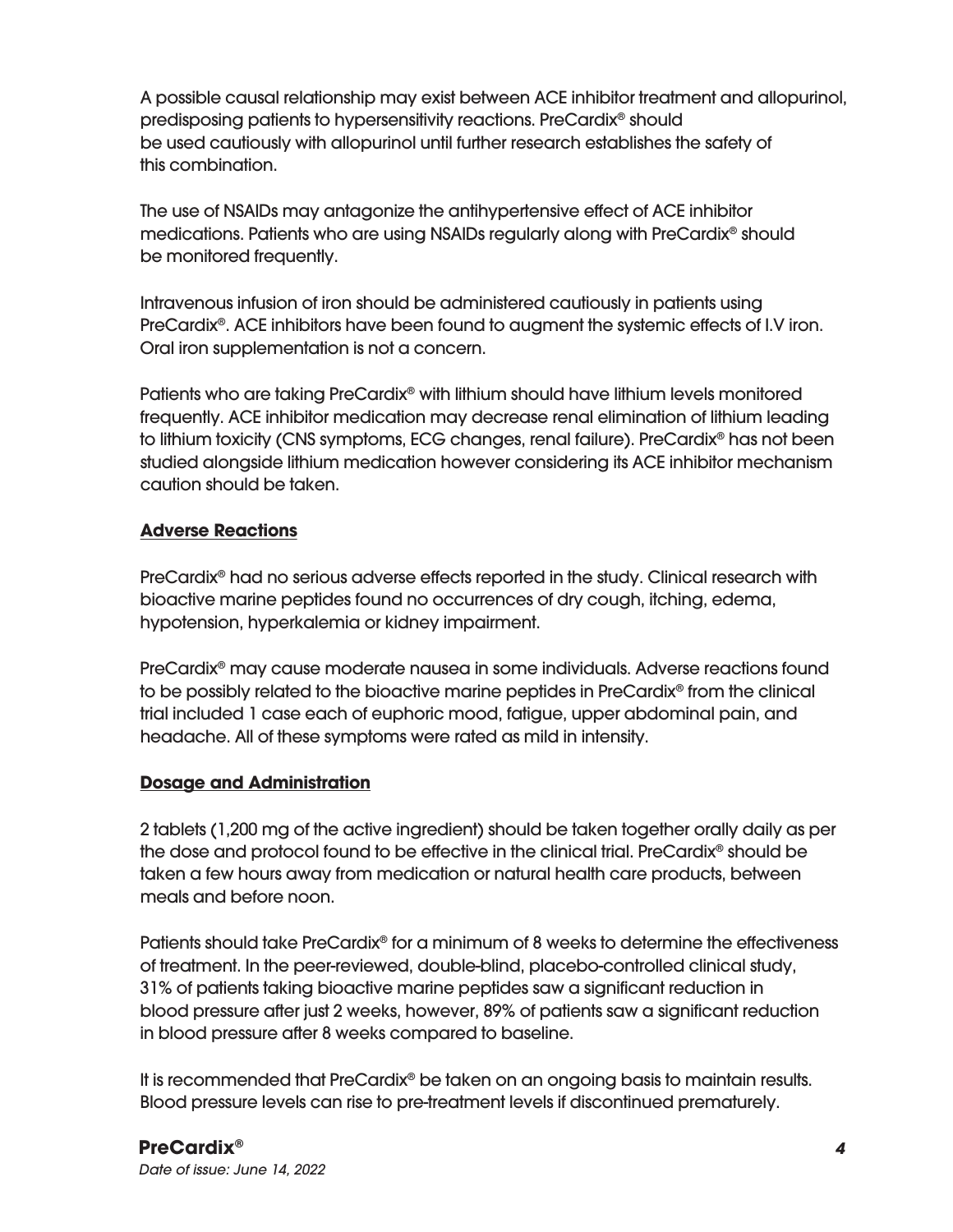A possible causal relationship may exist between ACE inhibitor treatment and allopurinol, predisposing patients to hypersensitivity reactions. PreCardix® should be used cautiously with allopurinol until further research establishes the safety of this combination.

The use of NSAIDs may antagonize the antihypertensive effect of ACE inhibitor medications. Patients who are using NSAIDs regularly along with PreCardix® should be monitored frequently.

Intravenous infusion of iron should be administered cautiously in patients using PreCardix<sup>®</sup>. ACE inhibitors have been found to augment the systemic effects of I.V iron. Oral iron supplementation is not a concern.

Patients who are taking PreCardix® with lithium should have lithium levels monitored frequently. ACE inhibitor medication may decrease renal elimination of lithium leading to lithium toxicity (CNS symptoms, ECG changes, renal failure). PreCardix® has not been studied alongside lithium medication however considering its ACE inhibitor mechanism caution should be taken.

#### **Adverse Reactions**

PreCardix® had no serious adverse effects reported in the study. Clinical research with bioactive marine peptides found no occurrences of dry cough, itching, edema, hypotension, hyperkalemia or kidney impairment.

PreCardix® may cause moderate nausea in some individuals. Adverse reactions found to be possibly related to the bioactive marine peptides in PreCardix® from the clinical trial included 1 case each of euphoric mood, fatigue, upper abdominal pain, and headache. All of these symptoms were rated as mild in intensity.

#### **Dosage and Administration**

2 tablets (1,200 mg of the active ingredient) should be taken together orally daily as per the dose and protocol found to be effective in the clinical trial. PreCardix® should be taken a few hours away from medication or natural health care products, between meals and before noon.

Patients should take PreCardix® for a minimum of 8 weeks to determine the effectiveness of treatment. In the peer-reviewed, double-blind, placebo-controlled clinical study, 31% of patients taking bioactive marine peptides saw a significant reduction in blood pressure after just 2 weeks, however, 89% of patients saw a significant reduction in blood pressure after 8 weeks compared to baseline.

It is recommended that PreCardix® be taken on an ongoing basis to maintain results. Blood pressure levels can rise to pre-treatment levels if discontinued prematurely.

#### **PreCardix®** *4*

*Date of issue: June 14, 2022*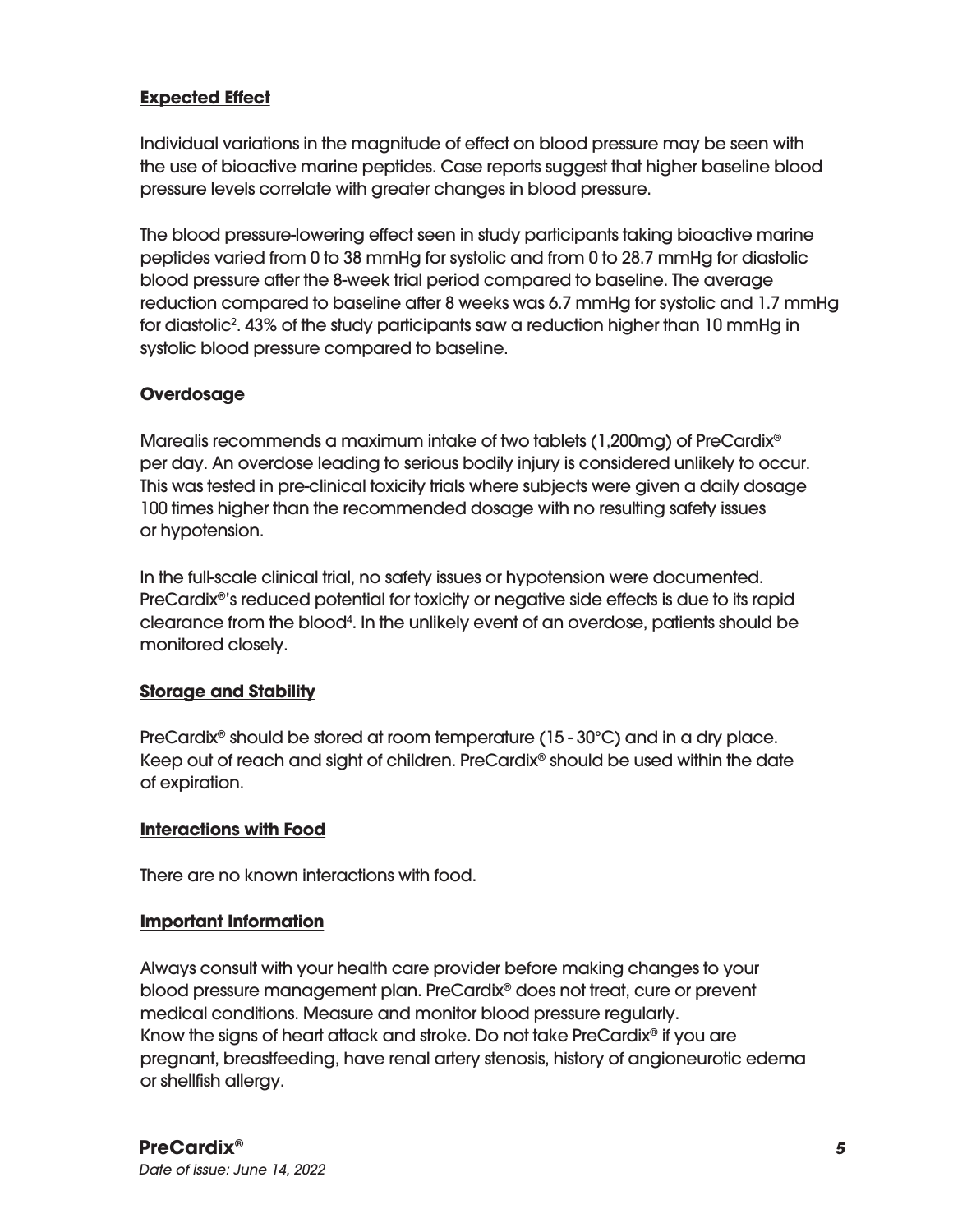#### **Expected Effect**

Individual variations in the magnitude of effect on blood pressure may be seen with the use of bioactive marine peptides. Case reports suggest that higher baseline blood pressure levels correlate with greater changes in blood pressure.

The blood pressure-lowering effect seen in study participants taking bioactive marine peptides varied from 0 to 38 mmHg for systolic and from 0 to 28.7 mmHg for diastolic blood pressure after the 8-week trial period compared to baseline. The average reduction compared to baseline after 8 weeks was 6.7 mmHg for systolic and 1.7 mmHg for diastolic2 . 43% of the study participants saw a reduction higher than 10 mmHg in systolic blood pressure compared to baseline.

#### **Overdosage**

Marealis recommends a maximum intake of two tablets (1,200mg) of PreCardix® per day. An overdose leading to serious bodily injury is considered unlikely to occur. This was tested in pre-clinical toxicity trials where subjects were given a daily dosage 100 times higher than the recommended dosage with no resulting safety issues or hypotension.

In the full-scale clinical trial, no safety issues or hypotension were documented. PreCardix®'s reduced potential for toxicity or negative side effects is due to its rapid clearance from the blood<sup>4</sup>. In the unlikely event of an overdose, patients should be monitored closely.

#### **Storage and Stability**

PreCardix® should be stored at room temperature (15 - 30°C) and in a dry place. Keep out of reach and sight of children. PreCardix® should be used within the date of expiration.

#### **Interactions with Food**

There are no known interactions with food.

#### **Important Information**

Always consult with your health care provider before making changes to your blood pressure management plan. PreCardix® does not treat, cure or prevent medical conditions. Measure and monitor blood pressure regularly. Know the signs of heart attack and stroke. Do not take PreCardix® if you are pregnant, breastfeeding, have renal artery stenosis, history of angioneurotic edema or shellfish allergy.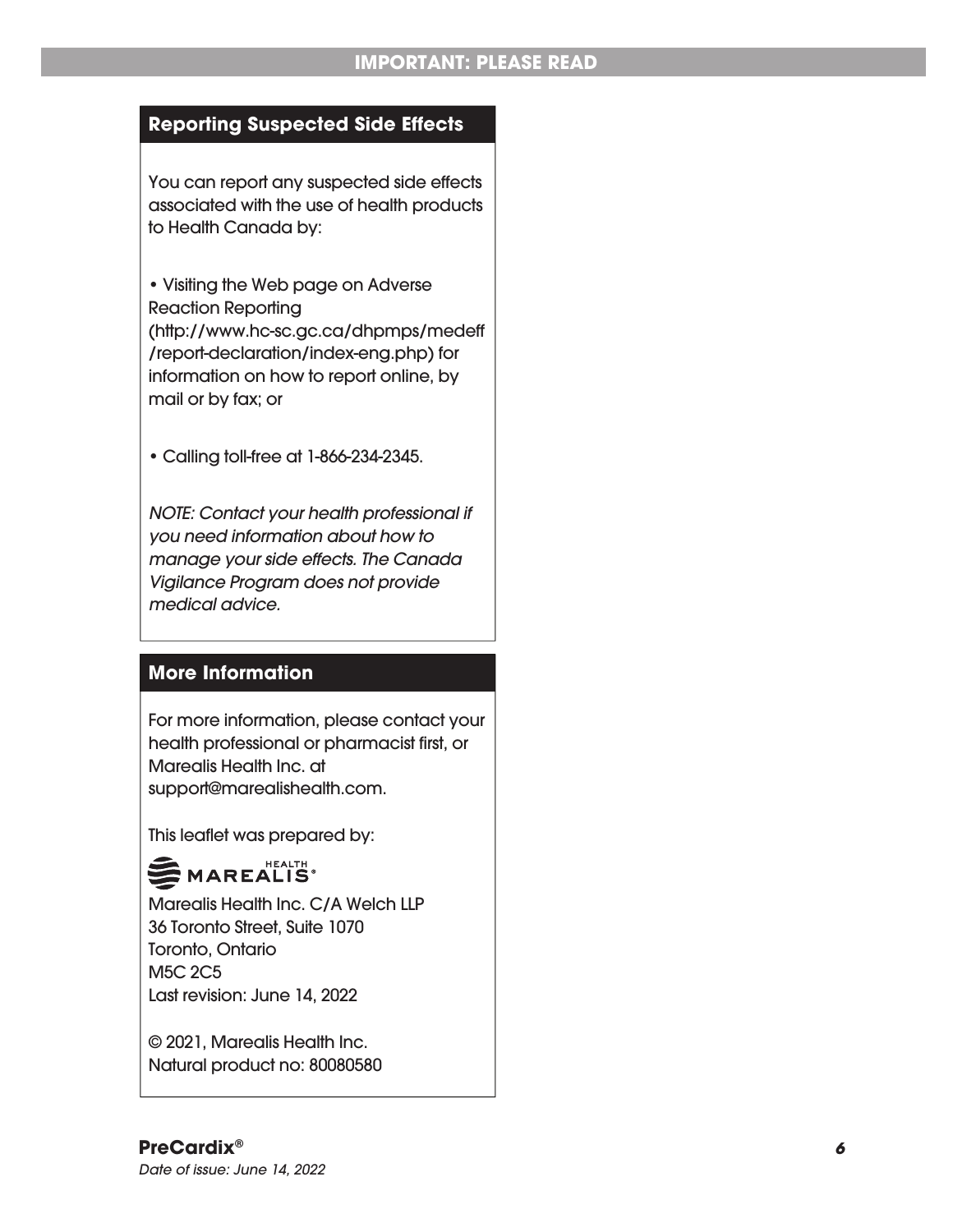#### **Reporting Suspected Side Effects**

You can report any suspected side effects associated with the use of health products to Health Canada by:

• Visiting the Web page on Adverse Reaction Reporting (http://www.hc-sc.gc.ca/dhpmps/medeff /report-declaration/index-eng.php) for information on how to report online, by mail or by fax; or

• Calling toll-free at 1-866-234-2345.

*NOTE: Contact your health professional if you need information about how to manage your side effects. The Canada Vigilance Program does not provide medical advice.*

#### **More Information**

For more information, please contact your health professional or pharmacist first, or Marealis Health Inc. at support@marealishealth.com.

This leaflet was prepared by:

### MAREALIS<sup>®</sup>

Marealis Health Inc. C/A Welch LLP 36 Toronto Street, Suite 1070 Toronto, Ontario M5C 2C5 Last revision: June 14, 2022

© 2021, Marealis Health Inc. Natural product no: 80080580